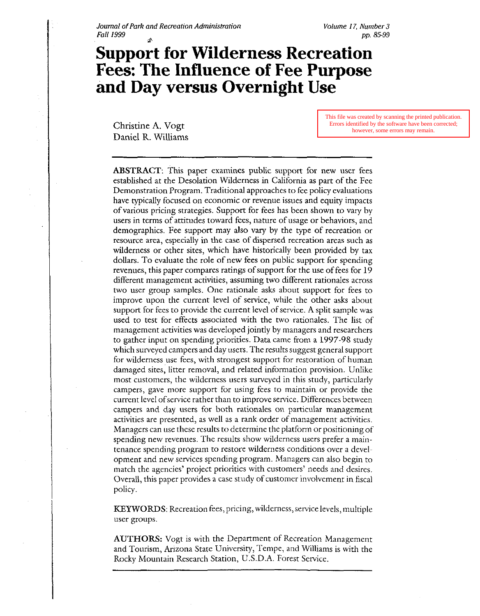# **Support for Wilderness Recreation Fees: The Influence of Fee Purpose**  and Day versus Overnight Use

Christine A. Vogt Daniel R. Williams This file was created by scanning the printed publication. Errors identified by the software have been corrected; however, some errors may remain.

ABSTRACT: This paper examines public support for new user fees established at the Desolation Wilderness in California as part of the Fee Demonstration Program. Traditional approaches to fee policy evaluations have typically focused on economic or revenue issues and equity impacts of various pricing strategies. Support for fees has been shown to vary by users in terms of attitudes toward fees, nature of usage or behaviors, and demographics. Fee support may also vary by the type of recreation or resource area, especially in the case of dispersed recreation areas such as wilderness or other sites, which have historically been provided by tax dollars. To evaluate the role of new fees on public support for spending revenues, this paper compares ratings of support for the use of fees for 19 different management activities, assuming two different rationales across two user group samples. One rationale asks about support for fees to improve upon the current level of service, while the other asks about support For fees to provide the current level of service. **A** split sample was used to test for effects associated with the two rationales. The list of management activities was developed jointly by managers and researchers to gather input on spending priorities. Data came from a 1997-98 study which surveyed campers and day users. The results suggest general support for wilderness use fees, with strongest support for restoration of human damaged sites, litter removal, and related information provision. Unlike most customers, the wilderness users surveyed in this study, particularly campers, gave more support for using fees to maintain or provide the current level ofservice rather than to improve service. Differences between campers and day users for both rationales on particular management activities are presented, as well as a rank order of management activities. Managers can use these results to determine the platform or positioning of spending new revenues. The results show wilderness users prefer a maintenance spending program to restore wilderness conditions over a development and new services spending program. Managers can also begin to match the agencies' project priorities with customers' needs and desires. Overall, this paper provides a case study of customer involvement in fiscal policy.

KEYWORDS: Recreation fees, pricing, wilderness, service levels, multiple user groups.

AUTHORS: Vogt is with the Department of Recreation Management and Tourism, Arizona State University, Tempe, and Williams is with the Rocky Mountain Research Station, U.S.D.A. Forest Service.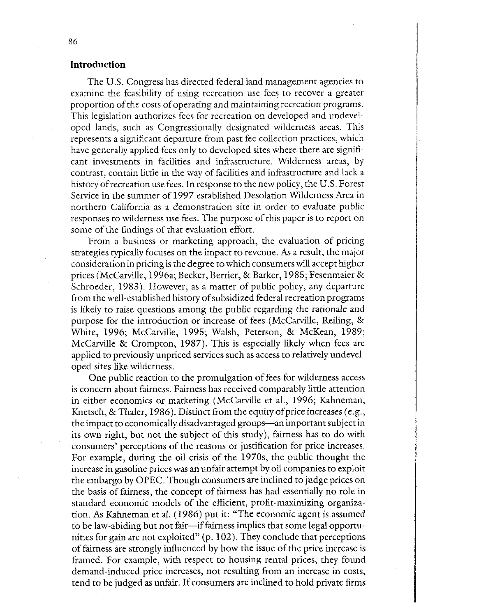# **Introduction**

The U.S. Congress has directed federal land management agencies to examine the feasibility of using recreation use fees to recover a greater proportion of the costs of operating and maintaining recreation programs. This legislation authorizes fees for recreation on developed and undeveloped lands, such as Congressionally designated wilderness areas. This represents a significant departure from past fee collection practices, which have generally applied fees only to developed sites where there are significant investments in facilities and infrastructure. Wilderness areas, by contrast, contain little in the way of facilities and infrastructure and lack a history of recreation use fees. In response to the new policy, the U.S. Forest Service in the summer of 1997 established Desolation Wilderness Area in northern California as a demonstration site in order to evaluate public responses to wilderness use fees. The purpose of this paper is to report on some of the findings of that evaluation effort.

From a business or marketing approach, the evaluation of pricing strategies typically focuses on the impact to revenue. As a result, the major consideration in pricing is the degree to which consumers will accept higher prices (McCarville, 1996a; Becker, Berrier, & Barker, 1985; Fesenmaier & Schroeder, 1983). However, as a matter of public policy, any departure from the well-established history of subsidized federal recreation programs is likely to raise questions among the public regarding the rationale and purpose for the introduction or increase of fees (McCarville, Reiling,  $\&$ White, 1996; McCarville, 1995; Walsh, Peterson, & McKean, 1989; McCarville & Crompton, 1987). This is especially likely when fees are applied to previously unpriced services such as access to relatively undeveloped sites like wilderness.

One public reaction to the promulgation of fees for wilderness access is concern about fairness. Fairness has received comparably little attention in either economics or marketing (McCarville et al., 1996; Kahneman, Knetsch, & Thaler, 1986). Distinct from the equity of price increases (e.g., the impact to economically disadvantaged groups-an important subject in its own right, but not the subject of this study), fairness has to do with consumers' perceptions of the reasons or justification for price increases. For example, during the oil crisis of the 1970s, the public thought the increase in gasoline prices was an unfair attempt by oil companies to exploit the embargo by OPEC. Though consumers are inclined to judge prices on the basis of fairness, the concept of fairness has had essentially no role in standard economic models of the efficient, profit-maximizing organization. As Kahneman et al. (1986) put it: "The economic agent is assumed to be law-abiding but not fair-if fairness implies that some legal opportunities for gain are not exploited" (p. 102). They conclude that perceptions of fairness are strongly influenced by how the issue of the price increase is framed. For example, with respect to housing rental prices, they found demand-induced price increases, not resulting from an increase in costs, tend to be judged as unfair. If consumers are inclined to hold private firms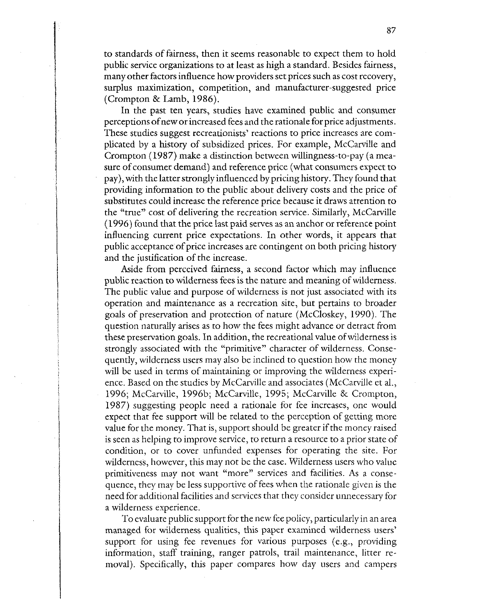to standards of fairness, then it seems reasonable to expect them to hold public service organizations to at least as high a standard. Besides fairness, many other factors influence how providers set prices such as cost recovery, surplus maximization, competition, and manufacturer-suggested price (Crompton & Lamb, 1986).

In the past ten years, studies have examined public and consumer perceptions ofnew or increased fees and the rationale for price adjustments. These studies suggest recreationists' reactions to price increases are complicated by a history of subsidized prices. For example, McCarville and Crompton (1987) make a distinction between willingness-to-pay (a measure of consumer demand) and reference price (what consumers expect to pay), with the latter strongly influenced by pricing history. They found that providing information to the public about delivery costs and the price of substitutes could increase the reference price because it draws attention to the "true" cost of delivering the recreation service. Similarly, McCarville (1996) found that the price last paid serves as an anchor or reference point influencing current price expectations. In other words, it appears that public acceptance of price increases are contingent on both pricing history and the justification of the increase.

Aside from perceived fairness, a second factor which may influence public reaction to wilderness fees is the nature and meaning of wilderness. The public value and purpose of wilderness is not just associated with its operation and maintenance as a recreation site, but pertains to broader goals of preservation and protection of nature (McCloskey, 1990). The question naturally arises as to how the fees might advance or detract from these preservation goals. In addition, the recreational value of wilderness is strongly associated with the "primitive" character of wilderness. Consequently, wilderness users may also be inclined to question how the money will be used in terms of maintaining or improving the wilderness experience. Based on the studies by McCarville and associates (McCarville et al., 1996; McCarville, 1996b; McCarville, 1995; McCarville & Crompton, 1987) suggesting people need a rationale for fee increases, one would expect that fee support will be related to the perception of getting more value for the money. That is, support should be greater if the money raised is seen as helping to improve service, to return a resource to a prior state of condition, or to cover unfunded expenses for operating the site. For wilderness, however, this may not be the case. Wilderness users who value primitiveness may not want "more" services and facilities. As a consequence, they may be less supportive of fees when the rationale given is the need for additional facilities and services that they consider unnecessary for a wilderness experience.

To evaluate public support for the new fee policy, particularly in an area managed for wilderness qualities, this paper examined wilderness users' support for using fee revenues for various purposes (e.g., providing information, staff training, ranger patrols, trail maintenance, litter removal). Specifically, this paper compares how day users and campers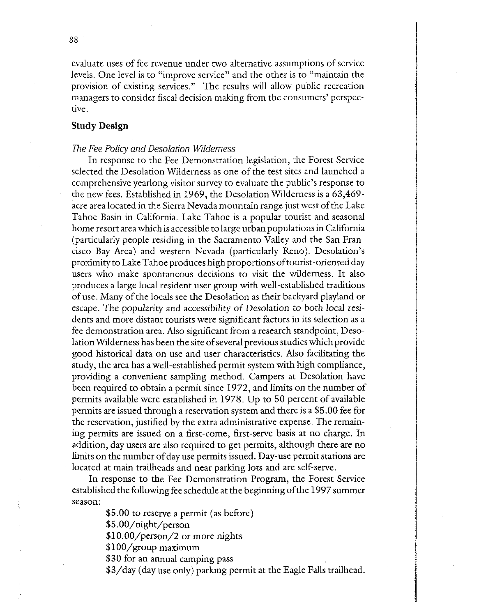evaluate uses of fee revenue under two alternative assumptions of service levels. One level is to "improve service" and the other is to "maintain the provision of existing services." The results will allow public recreation managers to consider fiscal decision making from the consumers' perspective.

# **Study Design**

### The Fee Policy and Desolation Wilderness

In response to the Fee Demonstration legislation, the Forest Service selected the Desolation Wilderness as one of the test sites and launched a comprehensive yearlong visitor survey to evaluate the public's response to the new fees. Established in 1969, the Desolation Wilderness is a 63,469 acre area located in the Sierra Nevada mountain range just west of the Lake Tahoe Basin in California. Lake Tahoe is a popular tourist and seasonal home resort area which is accessible to large urban populations in California (particularly people residing in the Sacramento Valley and the San Francisco Bay Area) and western Nevada (particularly Reno). Desolation's proximity to Lake Tahoe produces high proportions of tourist-oriented day users who make spontaneous decisions to visit the wilderness. It also produces a large local resident user group with well-established traditions of use. Many of the locals see the Desolation as their backyard playland or escape. The popularity and accessibility of Desolation to both local residents and more distant tourists were significant factors in its selection as a fee demonstration area. Also significant from a research standpoint, Desolation Wilderness has been the site of several previous studies which provide good historical data on use and user characteristics. Also facilitating the study, the area has a well-established permit system with high compliance, providing a convenient sampling method. Campers at Desolation have been required to obtain a permit since 1972, and limits on the number of permits available were established in 1978. Up to 50 percent of available permits are issued through a reservation system and there is a \$5.00 fee for the reservation, justified by the extra administrative expense. The remaining permits are issued on a first-come, first-serve basis at no charge. In addition, day users are also required to get permits, although there are no limits on the number of day use permits issued. Day-use permit stations are located at main trailheads and near parking lots and are self-serve.

In response to the Fee Demonstration Program, the Forest Service established the following fee schedule at the beginning ofthe 1997 summer season:

\$5.00 to reserve a permit (as before)

\$5 .OO/night/person

\$10.00/person/2 or more nights

\$100/group maximum

\$30 for an annual camping pass

\$3/day (day use only) parking permit at the Eagle Falls trailhead.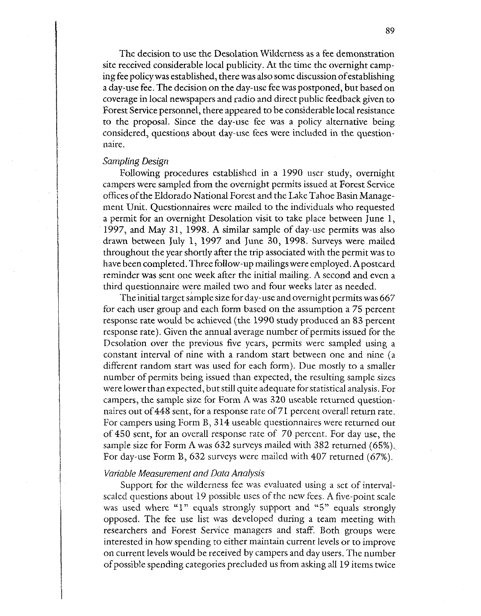The decision to use the Desolation Wilderness as a fee demonstration site received considerable local publicity. At the time the overnight camping fee policy was established, there was also some discussion ofestablishing a day-use fee. The decision on the day-use fee was postponed, but based on coverage in local newspapers and radio and direct public feedback given to Forest Service personnel, there appeared to be considerable local resistance to the proposal. Since the day-use fee was a policy alternative being considered, questions about day-use fees were included in the questionnaire.

#### *Sampling Design*

Following procedures established in a 1990 user study, overnight campers were sampled from the overnight permits issued at Forest Service offices of the Eldorado National Forest and the Lake Tahoe Basin Management Unit. Questionnaires were mailed to the individuals who requested a permit for an overnight Desolation visit to take place between June 1, 1997, and May 31, 1998. A similar sample of day-use permits was also drawn between July 1, 1997 and June 30, 1998. Surveys were mailed throughout the year shortly after the trip associated with the permit was to have been completed. Three follow-up mailings were employed. Apostcard reminder was sent one week after the initial mailing. A second and even a third questionnaire were mailed two and four weeks later as needed.

The initial target sample size for day-use and overnight permits was 667 for each user group and each form based on the assumption a 75 percent response rate would be achieved (the 1990 study produced an 83 percent response rate). Given the annual average number of permits issued for the Desolation over the previous five years, permits were sampled using a constant interval of nine with a random start between one and nine (a different random start was used for each form). Due mostly to a smaller number of permits being issued than expected, the resulting sample sizes were lower than expected, but still quite adequate for statistical analysis. For campers, the sample size for Form A was 320 useable returned questionnaires out of448 sent, for a response rate of 71 percent overall return rate. For campers using Form B, 314 useable questionnaires were returned out of 450 sent, for an overall response rate of 70 percent. For day use, the sample size for Form A was 632 surveys mailed with 382 returned (65%). For day-use Form B, 632 surveys were mailed with 407 returned (67%).

#### *Variable Measurement and Data Analysis*

Support for the wilderness fee was evaluated using a set of intervalscaled questions about 19 possible uses of the new fees. A five-point scale was used where "1" equals strongly support and "5" equals strongly opposed. The fee use list was developed during a team meeting with researchers and Forest Service managers and staff. Both groups were interested in how spending to either maintain current levels or to improve on current levels would be received by campers and day users. The number of possible spending categories precluded us from asking all 19 items twice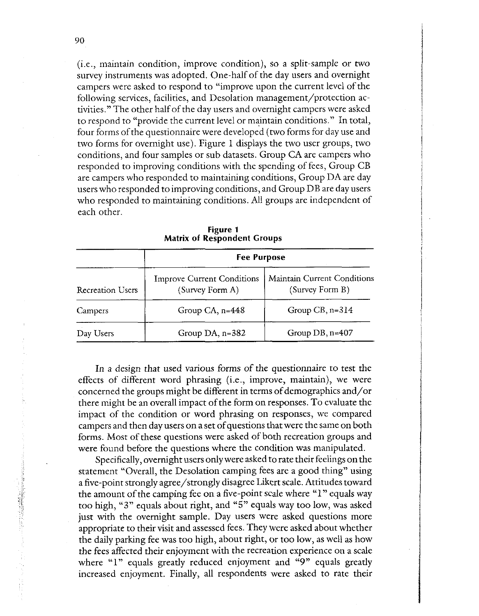(i.e., maintain condition, improve condition), so a split-sample or two survey instruments was adopted. One-half of the day users and overnight campers were asked to respond to "improve upon the current level of the following services, facilities, and Desolation management/protection activities." The other half of the day users and overnight campers were asked to respond to "provide the current level or maintain conditions." In total, four forms of the questionnaire were developed (two forms for day use and two forms for overnight use). Figure 1 displays the two user groups, two conditions, and four samples or sub datasets. Group CA are campers who responded to improving conditions with the spending of fees, Group CB are campers who responded to maintaining conditions, Group DA are day users who responded to improving conditions, and Group DB are day users who responded to maintaining conditions. All groups are independent of each other.

| <b>Recreation Users</b> | <b>Fee Purpose</b>                                   |                                                |  |  |  |
|-------------------------|------------------------------------------------------|------------------------------------------------|--|--|--|
|                         | <b>Improve Current Conditions</b><br>(Survey Form A) | Maintain Current Conditions<br>(Survey Form B) |  |  |  |
| Campers                 | Group CA, $n=448$                                    | Group $CB$ , n= $314$                          |  |  |  |
| Day Users               | Group DA, $n=382$                                    | Group $DB$ , $n=407$                           |  |  |  |

**Figure 1 Matrix of Respondent Croups** 

In a design that used various forms of the questionnaire to test the effects of different word phrasing (i.e., improve, maintain), we were concerned the groups might be different in terms of demographics and/or concerned the groups might be different in terms of demographics and/or<br>there might be an overall impact of the form on responses. To evaluate the<br>impact of the same litter are used abusing an associated we compared. impact of the condition or word phrasing on responses, we compared campers and then day users on a set of questions that were the same on both forms. Most of these questions were asked of both recreation groups and were found before the questions where the condition was manipulated.

Specifically, overnight users only were asked to rate their feelings on the statement "Overall, the Desolation camping fees are a good thing" using a five-point strongly agree/strongly disagree Likert scale. Attitudes toward the amount of the camping fee on a five-point scale where "1" equals way too high, **"3"** equals about right, and "5" equals way too low, was asked just with the overnight sample. Day users were asked questions more appropriate to their visit and assessed fees. They were asked about whether the daily parking fee was too high, about right, or too low, as well as how the fees affected their enjoyment with the recreation experience on a scale where "1" equals greatly reduced enjoyment and "9" equals greatly increased enjoyment. Finally, all respondents were asked to rate their

1997年,1998年1992年,1998年,1998年,1998年,1999年,1999年,1999年,1999年,1999年,1999年,1999年,1999年,1999年,1999年,1999年<br>1999年,1999年,1999年,1999年,1999年,1999年,1999年,1999年,1999年,1999年,1999年,1999年,1999年,1999年,1999年,1999年,1999年,1999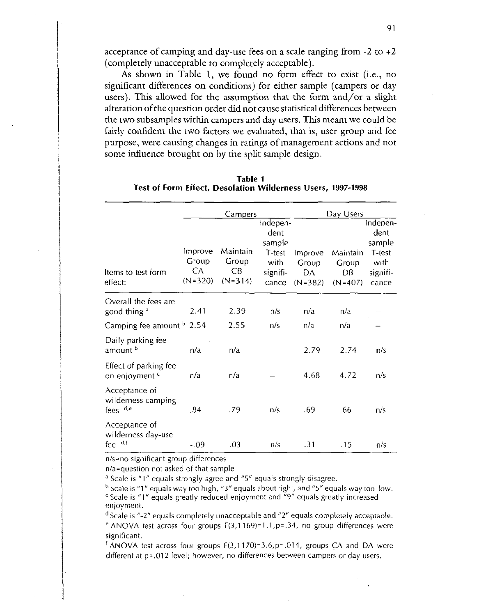acceptance of camping and day-use fees on a scale ranging from  $-2$  to  $+2$ (completely unacceptable to completely acceptable).

**As** shown in Table 1, we found no form effect to exist (i.e., no significant differences on conditions) for either sample (campers or day users). This allowed for the assumption that the form and/or a slight alteration ofthe question order did not cause statistical differences between the two subsamples within campers and day users. This meant we could be fairly confident the two factors we evaluated, that is, user group and fee purpose, were causing changes in ratings of management actions and not some influence brought on by **the** split sample design.

|                                                    |                                     | <u>Campers</u>                       |                                                                   |                                     | Day Users                            |                                                                   |
|----------------------------------------------------|-------------------------------------|--------------------------------------|-------------------------------------------------------------------|-------------------------------------|--------------------------------------|-------------------------------------------------------------------|
| Items to test form<br>effect:                      | Improve<br>Group<br>СA<br>$(N=320)$ | Maintain<br>Group<br>CВ<br>$(N=314)$ | Indepen-<br>dent<br>sample<br>T-test<br>with<br>signifi-<br>cance | Improve<br>Group<br>DA<br>$(N=382)$ | Maintain<br>Group<br>DB<br>$(N=407)$ | Indepen-<br>dent<br>sample<br>T-test<br>with<br>signifi-<br>cance |
| Overall the fees are<br>good thing a               | 2.41                                | 2.39                                 | n/s                                                               | n/a                                 | n/a                                  |                                                                   |
| Camping fee amount <sup>b</sup> 2.54               |                                     | 2.55                                 | n/s                                                               | n/a                                 | n/a                                  |                                                                   |
| Daily parking fee<br>amount b                      | n/a                                 | n/a                                  |                                                                   | 2.79                                | 2.74                                 | n/s                                                               |
| Effect of parking fee<br>on enjoyment <sup>c</sup> | n/a                                 | n/a                                  |                                                                   | 4.68                                | 4.72                                 | n/s                                                               |
| Acceptance of<br>wilderness camping<br>fees de     | .84                                 | .79                                  | n/s                                                               | .69                                 | .66                                  | n/s                                                               |
| Acceptance of<br>wilderness day-use<br>fee $d, f$  | $-09$                               | .03                                  | n/s                                                               | .31                                 | .15                                  | n/s                                                               |

| Table 1                                                     |  |  |  |  |  |  |
|-------------------------------------------------------------|--|--|--|--|--|--|
| Test of Form Effect, Desolation Wilderness Users, 1997-1998 |  |  |  |  |  |  |

 $n/s$ =no significant group differences

n/a=question not asked of that sample

<sup>a</sup> Scale is "1" equals strongly agree and "5" equals strongly disagree.

 $^{\rm b}$  Scale is "1" equals way too high, "3" equals about right, and "5" equals way too low.  $\epsilon$  Scale is "1" equals greatly reduced enjoyment and  $\epsilon$ 9" equals greatly increased enjoyment.

Scale is "-2" equals completely unacceptable and "2" equals completely acceptable. <sup>e</sup> ANOVA test across four groups  $F(3,1169) = 1.1$ , p=.34, no group differences were significant.<br><sup>f</sup> ANOVA test across four groups F(3,1170)=3.6,p=.014, groups CA and DA were

different at p=.012 level; however, no differences between campers or day users.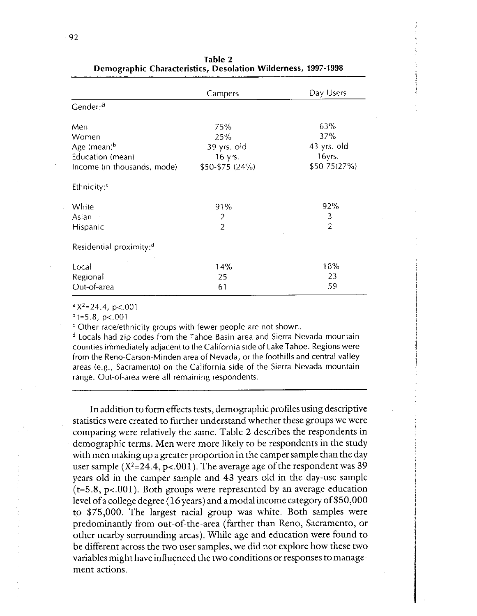|                                     | Campers         | Day Users      |  |
|-------------------------------------|-----------------|----------------|--|
| Gender: <sup>a</sup>                |                 |                |  |
| Men                                 | 75%             | 63%            |  |
| Women                               | 25%             | 37%            |  |
| Age (mean) <sup>b</sup>             | 39 yrs. old     | 43 yrs. old    |  |
| Education (mean)                    | 16 yrs.         | 16yrs.         |  |
| Income (in thousands, mode)         | \$50-\$75 (24%) | $$50-75(27%)$  |  |
| Ethnicity: <sup>c</sup>             |                 |                |  |
| White                               | 91%             | 92%            |  |
| Asian                               | $\overline{2}$  | 3              |  |
| Hispanic                            | $\overline{2}$  | $\overline{2}$ |  |
| Residential proximity: <sup>d</sup> |                 |                |  |
| Local                               | 14%             | 18%            |  |
| Regional                            | 25              | 23             |  |
| Out-of-area                         | 61              | 59             |  |

Table **2**  Dernozra~hic Characteristics, Desolation Wilderness, **1997-1998** 

 $a \text{X}^2 = 24.4$ , p<.001

 $b_{t=5.8, p<.001}$ 

' Other racelethnicity groups with fewer people are not shown.

Locals had zip codes from the Tahoe Basin area and Sierra Nevada mountain counties immediately adjacent to the California side of Lake Tahoe. Regions were from the Reno-Carson-Minden area of Nevada, or the foothills and central valley areas (e.g., Sacramento) on the California side of the Sierra Nevada mountain range. Out-of-area were all remaining respondents.

In addition to form effects tests, demographic profiles using descriptive statistics were created to further understand whether these groups we were comparing were relatively the same. Table 2 describes the respondents in demographic terms. Men were more likely to be respondents in the study with men making up a greater proportion in the camper sample than the day user sample  $(X^2=24.4, p<0.01)$ . The average age of the respondent was 39 years old in the camper sample and 43 years old in the day-use sample  $(t=5.8, p<0.01)$ . Both groups were represented by an average education level ofa college degree (16 years) and a modal income categoryof\$50,000 to \$75,000. The largest racial group was white. Both samples were predominantly from out-of-the-area (farther than Reno, Sacramento, or other nearby surrounding areas). While age and education were found to be different across the two user samples, we did not explore how these two variables might have influenced the two conditions or responses to management actions.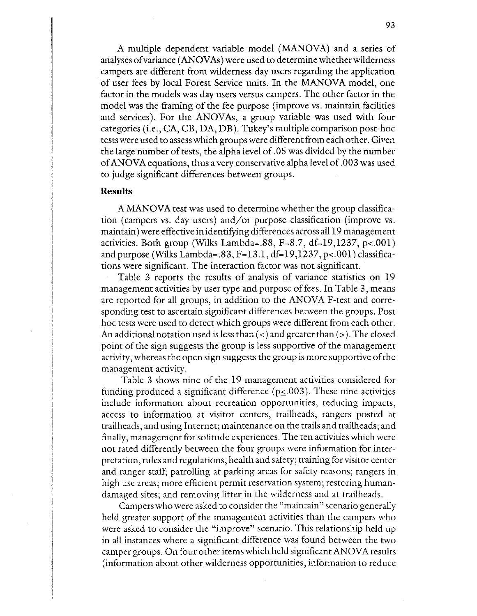A multiple dependent variable model (MANOVA) and a series of analyses ofvariance (ANOVAs) were used to determine whether wilderness campers are different from wilderness day users regarding the application of user fees by local Forest Service units. In the MANOVA model, one factor in the models was day users versus campers. The other factor in the model was the framing of the fee purpose (improve vs. maintain facilities and services). For the ANOVAs, a group variable was used with four categories (i.e., CA, CB, DA, DB). Tukey's multiple comparison post-hoc tests were used to assess which groups were different from each other. Given the large number of tests, the alpha level of .05 was divided by the number ofANOVAequations, thus avery conservative alpha level of ,003 was used to judge significant differences between groups.

# **Results**

A MANOVA test was used to determine whether the group classification (campers vs. day users) and/or purpose classification (improve vs. maintain) were effective in identifying differences across all 19 management activities. Both group (Wilks Lambda=.88, F=8.7, df=19,1237, p<.001) and purpose (Wilks Lambda=.83, F=13.l, df=19,1237, p<.001) classifications were significant. The interaction factor was not significant.

Table 3 reports the results of analysis of variance statistics on 19 management activities by user type and purpose of fees. In Table 3, means are reported for all groups, in addition to the ANOVA F-test and corresponding test to ascertain significant differences between the groups. Post hoc tests were used to detect which groups were different from each other. An additional notation used is less than  $(<)$  and greater than  $(>)$ . The closed point of the sign suggests the group is less supportive of the management activity, whereas the open sign suggests the group is more supportive of the management activity.

Table 3 shows nine of the 19 management activities considered for funding produced a significant difference ( $p \le 0.003$ ). These nine activities include information about recreation opportunities, reducing impacts, access to information at visitor centers, trailheads, rangers posted at trailheads, and using Internet; maintenance on the trails and trailheads; and finally, management for solitude experiences. The ten activities which were not rated differently between the four groups were information for interpretation, rules and regulations, health and safety; training for visitor center and ranger staff; patrolling at parking areas for safety reasons; rangers in high use areas; more efficient permit reservation system; restoring humandamagcd sites; and removing litter in the wilderness and at trailheads.

Campers who were asked to consider the "maintain" scenario generally held greater support of the management activities than the campers who were asked to consider the "improve" scenario. This relationship held up in all instances where a significant difference was found between the two camper groups. On four other items which held significant ANOVA results (information about other wilderness opportunities, information to reduce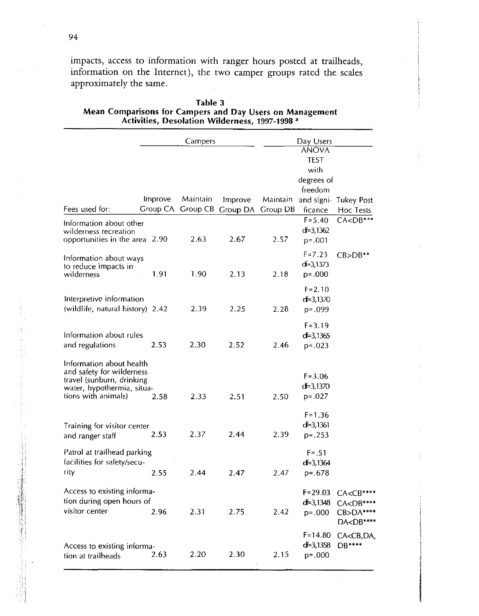impacts, access to information with ranger hours posted at trailheads, information on the Internet), the two camper groups rated the scales approximately the same.

|                                                                                                                                         |         | Campers  |                                                | Day Users |                                                   |                                                                                      |  |
|-----------------------------------------------------------------------------------------------------------------------------------------|---------|----------|------------------------------------------------|-----------|---------------------------------------------------|--------------------------------------------------------------------------------------|--|
|                                                                                                                                         |         |          |                                                |           | <b>ANOVA</b><br><b>TEST</b><br>with<br>degrees of |                                                                                      |  |
| Fees used for:                                                                                                                          | Improve | Maintain | Improve<br>Group CA Group CB Group DA Group DB | Maintain  | freedom<br>ficance                                | and signi- Tukey Post<br>Hoc Tests                                                   |  |
| Information about other<br>wilderness recreation<br>opportunities in the area 2.90                                                      |         | 2.63     | 2.67                                           | 2.57      | $F = 5.40$<br>$df = 3,1362$<br>$p = .001$         | $CACDB***$                                                                           |  |
| Information about ways<br>to reduce impacts in<br>wilderness                                                                            | 1.91    | 1.90     | 2.13                                           | 2.18      | $F = 7.23$<br>$d=3,1373$<br>$p = 0.000$           | $CB>DB**$                                                                            |  |
| Interpretive information<br>(wildlife, natural history) 2.42                                                                            |         | 2.39     | 2.25                                           | 2.28      | $F = 2.10$<br>$d = 3,1370$<br>p=.099              |                                                                                      |  |
| Information about rules<br>and regulations                                                                                              | 2.53    | 2.30     | 2.52                                           | 2.46      | $F = 3.19$<br>$d = 3,1365$<br>$p = 0.023$         |                                                                                      |  |
| Information about health<br>and safety for wilderness<br>travel (sunburn, drinking<br>water, hypothermia, situa-<br>tions with animals) | 2.58    | 2.33     | 2.51                                           | 2.50      | $F = 3.06$<br>$d = 3,1370$<br>$p = 0.027$         |                                                                                      |  |
| Training for visitor center<br>and ranger staff                                                                                         | 2.53    | 2.37     | 2.44                                           | 2.39      | $F = 1.36$<br>$d = 3,1361$<br>$p = .253$          |                                                                                      |  |
| Patrol at trailhead parking<br>facilities for safety/secu-<br>rity                                                                      | 2.55    | 2.44     | 2.47                                           | 2.47      | $F = .51$<br>df=3,1364<br>$p = 678$               |                                                                                      |  |
| Access to existing informa-<br>tion during open hours of<br>visitor center                                                              | 2.96    | 2.31     | 2.75                                           | 2.42      | $F = 29.03$<br>$d = 3,1348$<br>$p = .000$         | $CACCB***$<br>CA <db****<br>CB&gt;DA****<br/>DA<db****< td=""></db****<></db****<br> |  |
| Access to existing informa-<br>tion at trailheads                                                                                       | 2.63    | 2.20     | 2.30                                           | 2.15      | $F = 14.80$<br>$d = 3,1358$<br>$p = .000$         | CA <cb,da,<br>DB****</cb,da,<br>                                                     |  |

 $\bar{\mathcal{A}}$ 

**Table 3 Mean Comparisons for Campers and Day Users on Management Activities, Desolation Wilderness, 1997-1998 a**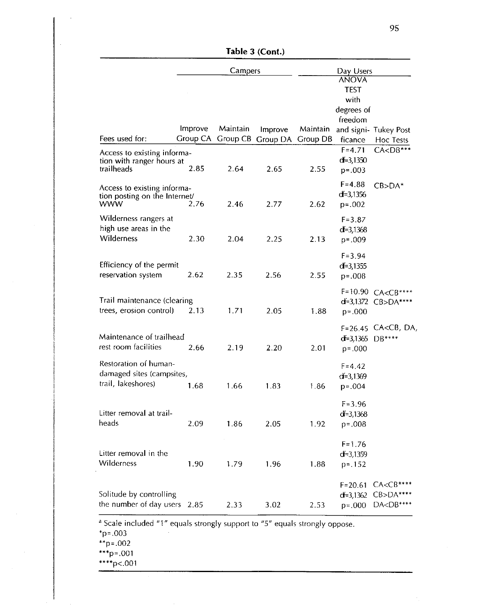|                                         | Campers |          |                                                | Day Users    |               |                                      |  |
|-----------------------------------------|---------|----------|------------------------------------------------|--------------|---------------|--------------------------------------|--|
|                                         |         |          |                                                | <b>ANOVA</b> |               |                                      |  |
|                                         |         |          |                                                |              | <b>TEST</b>   |                                      |  |
|                                         |         |          |                                                |              | with          |                                      |  |
|                                         |         |          |                                                |              | degrees of    |                                      |  |
|                                         | Improve | Maintain |                                                |              | freedom       |                                      |  |
| Fees used for:                          |         |          | Improve<br>Group CA Group CB Group DA Group DB | Maintain     | ficance       | and signi- Tukey Post                |  |
|                                         |         |          |                                                |              | $F = 4.71$    | Hoc Tests<br>$CA $                   |  |
| Access to existing informa-             |         |          |                                                |              | $d = 3,1350$  |                                      |  |
| tion with ranger hours at<br>trailheads | 2.85    | 2.64     | 2.65                                           | 2.55         | $p = .003$    |                                      |  |
|                                         |         |          |                                                |              |               |                                      |  |
| Access to existing informa-             |         |          |                                                |              | $F = 4.88$    | $CB>DA*$                             |  |
| tion posting on the Internet/           |         |          |                                                |              | $d=3,1356$    |                                      |  |
| www                                     | 2.76    | 2.46     | 2.77                                           | 2.62         | $p = .002$    |                                      |  |
| Wilderness rangers at                   |         |          |                                                |              | $F = 3.87$    |                                      |  |
| high use areas in the                   |         |          |                                                |              | $d = 3,1368$  |                                      |  |
| Wilderness                              | 2.30    | 2.04     | 2.25                                           | 2.13         | $p = .009$    |                                      |  |
|                                         |         |          |                                                |              | $F = 3.94$    |                                      |  |
| Efficiency of the permit                |         |          |                                                |              | $d = 3.1355$  |                                      |  |
| reservation system                      | 2.62    | 2.35     | 2.56                                           | 2.55         | $p = .008$    |                                      |  |
|                                         |         |          |                                                |              |               |                                      |  |
|                                         |         |          |                                                |              |               | F=10.90 CA <cb****< td=""></cb****<> |  |
| Trail maintenance (clearing             |         |          |                                                |              |               | d=3,1372 CB>DA****                   |  |
| trees, erosion control)                 | 2.13    | 1,71     | 2.05                                           | 1.88         | $p = 000$     |                                      |  |
|                                         |         |          |                                                |              | $F = 26.45$   | CA <cb, da,<="" td=""></cb,>         |  |
| Maintenance of trailhead                |         |          |                                                |              | d=3,1365      | $DB***$                              |  |
| rest room facilities                    | 2.66    | 2.19     | 2.20                                           | 2.01         | $p = 000$     |                                      |  |
|                                         |         |          |                                                |              |               |                                      |  |
| Restoration of human-                   |         |          |                                                |              | $F = 4.42$    |                                      |  |
| damaged sites (campsites,               |         |          |                                                |              | $df = 3,1369$ |                                      |  |
| trail, lakeshores)                      | 1.68    | 1.66     | 1.83                                           | 1.86         | $p = 0.004$   |                                      |  |
|                                         |         |          |                                                |              | $F = 3.96$    |                                      |  |
| Litter removal at trail-                |         |          |                                                |              | $d = 3.1368$  |                                      |  |
| heads                                   | 2.09    | 1.86     | 2.05                                           | 1.92         | $p = .008$    |                                      |  |
|                                         |         |          |                                                |              |               |                                      |  |
|                                         |         |          |                                                |              | $F = 1.76$    |                                      |  |
| Litter removal in the                   |         |          |                                                |              | $d = 3,1359$  |                                      |  |
| Wilderness                              | 1.90    | 1.79     | 1.96                                           | 1.88         | $p = 152$     |                                      |  |
|                                         |         |          |                                                |              |               |                                      |  |
|                                         |         |          |                                                |              | $F = 20.61$   | $CACCB***$                           |  |
| Solitude by controlling                 |         |          |                                                |              | $d = 3,1362$  | $CB>DA***$                           |  |
| the number of day users                 | -2.85   | 2.33     | 3.02                                           | 2.53         | $p = 0.000$   | DA <db****< td=""></db****<>         |  |

**Table 3 (Cont.)** 

Scale included "1" equals strongly support to "5" equals strongly oppose.

\*p=.003

\*\*p=.oo2

\*\*\*p=.001

 $***p<.001$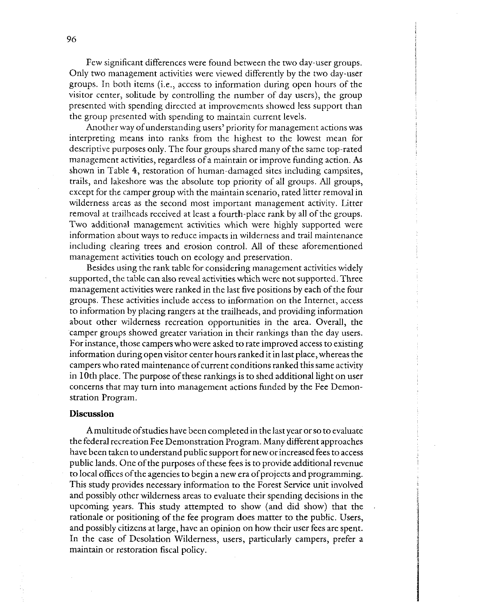Few significant differences were found between the two day-user groups. Only two management activities were viewed differently by the two day-user groups. In both items (i.e., access to information during open hours of the visitor center, solitude by controlling the number of day users), the group presented with spending directed at improvements showed less support than the group presented with spending to maintain current levels.

Another way of understanding users' priority for management actions was interpreting means into ranks from the highest to the lowest mean for descriptive purposes only. The four groups shared many ofthe same top-rated management activities, regardless of a maintain or improve funding action. **As**  shown in Table 4, restoration of human-damaged sites including campsites, trails, and lakeshore was the absolute top priority of all groups. All groups, except for the camper group with the maintain scenario, rated litter removal in wilderness areas as the second most important management activity. Litter removal at trailheads received at least a fourth-place rank by all of the groups. Two additional management activities which were highly supported were information about ways to reduce impacts in wilderness and trail maintenance including clearing trees and erosion control. All of these aforementioned management activities touch on ecology and preservation.

Besides using the rank table for considering management activities widely supported, the table can also reveal activities which were not supported. Three management activities were ranked in the last five positions by each of the four groups. These activities include access to information on the Internet, access to information by placing rangers at the trailheads, and providing information about other wilderness recreation opportunities in the area. Overall, the camper groups showed greater variation in their rankings than the day users. For instance, those campers who were asked to rate improved access to existing information during open visitor center hours ranked it in last place, whereas the campers who rated maintenance of current conditions ranked this same activity in 10th place. The purpose of these rankings is to shed additional light on user concerns that may turn into management actions funded by the Fee Demonstration Program.

#### **Discussion**

A multitude of studies have been completed in the last year or so to evaluate the federal recreation Fee Demonstration Program. Many different approaches have been taken to understand public support for new or increased fees to access public lands. One of the purposes of these fees is to provide additional revenue to local offices of the agencies to begin a new era of projects and programming. This study provides necessary information to the Forest Service unit involved and possibly other wilderness areas to evaluate their spending decisions in the upcoming years. This study attempted to show (and did show) that the rationale or positioning of the fee program does matter to the public. Users, and possibly citizens at large, have an opinion on how their user fees are spent. In the case of Desolation Wilderness, users, particularly campers, prefer a maintain or restoration fiscal policy.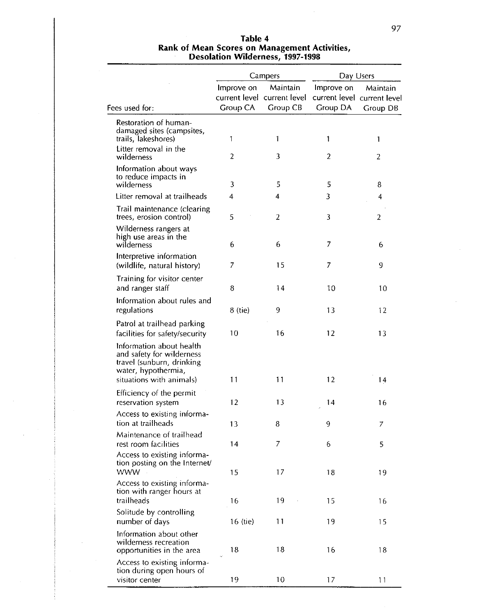| Table 4<br>Rank of Mean Scores on Management Activities,<br><b>Desolation Wilderness, 1997-1998</b> |  |                                                                                                   |           |  |  |  |  |
|-----------------------------------------------------------------------------------------------------|--|---------------------------------------------------------------------------------------------------|-----------|--|--|--|--|
|                                                                                                     |  | <b>Campers</b>                                                                                    | Day Users |  |  |  |  |
|                                                                                                     |  | Improve on Maintain Improve on Maintain<br>current level current level current level current leve |           |  |  |  |  |
| $d$ for:                                                                                            |  | Group CA Group CB Group DA Group DB                                                               |           |  |  |  |  |

# **Table 4**

|                                                                                                                                       | Group CA | current level current level current level current level | $m$ prove on $m$ <i>i</i> vidinality |                |
|---------------------------------------------------------------------------------------------------------------------------------------|----------|---------------------------------------------------------|--------------------------------------|----------------|
| Fees used for:                                                                                                                        |          | Group CB                                                | Group DA                             | Group DB       |
| Restoration of human-<br>damaged sites (campsites,<br>trails, lakeshores)                                                             | 1        | 1                                                       | 1                                    | $\mathbf{1}$   |
| Litter removal in the<br>wilderness                                                                                                   | 2        | 3                                                       | $\overline{2}$                       | $\overline{2}$ |
| Information about ways<br>to reduce impacts in<br>wilderness                                                                          | 3        | 5                                                       | 5                                    | 8              |
| Litter removal at trailheads                                                                                                          | 4        | 4                                                       | 3                                    | 4              |
| Trail maintenance (clearing<br>trees, erosion control)                                                                                | 5        | $\overline{2}$                                          | 3                                    | $\overline{a}$ |
| Wilderness rangers at<br>high use areas in the<br>wilderness                                                                          | 6        | 6                                                       | 7                                    | 6              |
| Interpretive information<br>(wildlife, natural history)                                                                               | 7        | 15                                                      | 7                                    | 9              |
| Training for visitor center<br>and ranger staff                                                                                       | 8        | 14                                                      | 10                                   | 10             |
| Information about rules and<br>regulations                                                                                            | 8 (tie)  | 9                                                       | 13                                   | 12             |
| Patrol at trailhead parking<br>facilities for safety/security                                                                         | 10       | 16                                                      | 12                                   | 13             |
| Information about health<br>and safety for wilderness<br>travel (sunburn, drinking<br>water, hypothermia,<br>situations with animals) | 11       | 11                                                      | 12                                   | 14             |
| Efficiency of the permit<br>reservation system                                                                                        | 12       | 13                                                      | 14                                   | 16             |
| Access to existing informa-<br>tion at trailheads                                                                                     | 13       | 8                                                       | 9                                    | 7              |
| Maintenance of trailhead<br>rest room facilities                                                                                      | 14       | 7                                                       | 6                                    | 5              |
| Access to existing informa-<br>tion posting on the Internet/<br><b>WWW</b>                                                            | 15       | 17                                                      | 18                                   | 19             |
| Access to existing informa-<br>tion with ranger hours at<br>trailheads                                                                | 16       | 19                                                      | 15                                   | 16             |
| Solitude by controlling<br>number of days                                                                                             | 16 (tie) | 11                                                      | 19                                   | 15             |
| Information about other<br>wilderness recreation<br>opportunities in the area                                                         | 18       | 18                                                      | 16                                   | 18             |
| Access to existing informa-<br>tion during open hours of<br>visitor center                                                            | 19       | 10                                                      | 17                                   | 11             |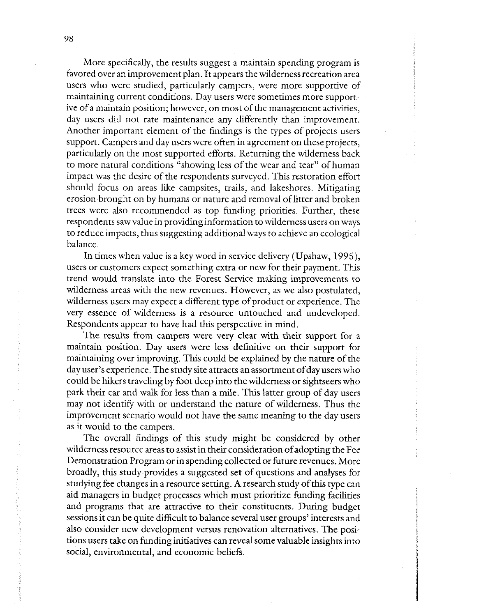More specifically, the results suggest a maintain spending program is favored over an improvement plan. It appears the wilderness recreation area users who were studied, particularly campers, were more supportive of maintaining current conditions. Day users were sometimes more supportive of a maintain position; however, on most of the management activities, day users did not rate maintenance any differently than improvement. Another important element of the findings is the types of projects users support. Campers and day users were often in agreement on these projects, particularly on the most supported efforts. Returning the wilderness back to more natural conditions "showing less of the wear and tear" of human impact was the desire of the respondents surveyed. This restoration effort should focus on areas like campsites, trails, and lakeshores. Mitigating erosion brought on by humans or nature and removal of litter and broken trees were also recommended as top funding priorities. Further, these respondents saw value in providing information to wilderness users on ways to reduce impacts, thus suggesting additional ways to achieve an ecological balance.

In times when value is a key word in service delivery (Upshaw, 1995), users or customers expect something extra or new for their payment. This trend would translate into the Forest Service making improvements to wilderness areas with the new revenues. However, as we also postulated, wilderness users may expect a different type of product or experience. The very essence of wilderness is a resource untouched and undeveloped. Respondents appear to have had this perspective in mind.

The results from campers were very clear with their support for a maintain position. Day users were less definitive on their support for maintaining over improving. This could be explained by the nature of the day user's experience. The study site attracts an assortment of day users who could be hikers traveling by foot deep into the wilderness or sightseers who park their car and walk for less than a mile. This latter group of day users may not identify with or understand the nature of wilderness. Thus the improvement scenario would not have the same meaning to the day users as it would to the campers.

The overall findings of this study might be considered by other wilderness resource areas to assist in their consideration of adopting the Fee Demonstration Program or in spending collected or future revenues. More broadly, this study provides a suggested set of questions and analyses for studying fee changes in a resource setting. A research study of this type can aid managers in budget processes which must prioritize funding facilities and programs that are attractive to their constituents. During budget sessions it can be quite difficult to balance several user groups' interests and also consider new development versus renovation alternatives. The positions users take on funding initiatives can reveal some valuable insights into social, environmental, and economic beliefs.